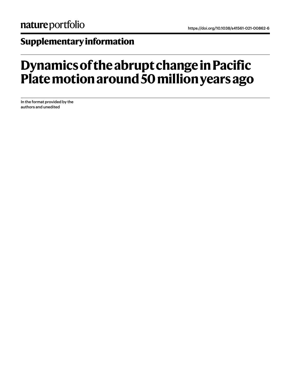## **Supplementary information**

## **Dynamics of the abrupt change in Pacific Plate motion around 50 million years ago**

In the format provided by the authors and unedited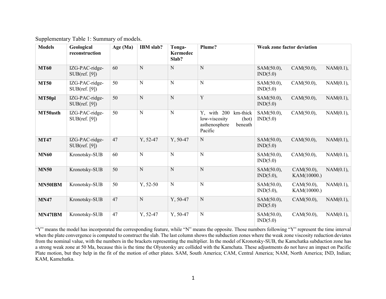Supplementary Table 1: Summary of models.

| <b>Models</b> | Geological<br>reconstruction    | Age $(Ma)$ | IBM slab?   | Tonga-<br><b>Kermedec</b><br>Slab? | Plume?                                                                                   | <b>Weak zone factor deviation</b> |                           |              |
|---------------|---------------------------------|------------|-------------|------------------------------------|------------------------------------------------------------------------------------------|-----------------------------------|---------------------------|--------------|
| <b>MT60</b>   | IZG-PAC-ridge-<br>SUB(ref. [9]) | 60         | N           | N                                  | N                                                                                        | SAM(50.0),<br>IND(5.0)            | CAM(50.0),                | NAM(0.1),    |
| <b>MT50</b>   | IZG-PAC-ridge-<br>SUB(ref. [9]) | 50         | N           | $\overline{\mathbf{N}}$            | N                                                                                        | SAM(50.0),<br>IND(5.0)            | CAM(50.0),                | NAM(0.1),    |
| MT50pl        | IZG-PAC-ridge-<br>SUB(ref. [9]) | 50         | $\mathbf N$ | N                                  | Y                                                                                        | SAM(50.0),<br>IND(5.0)            | CAM(50.0),                | $NAM(0.1)$ , |
| MT50asth      | IZG-PAC-ridge-<br>SUB(ref. [9]) | 50         | N           | N                                  | Y, with 200<br>km-thick<br>low-viscosity<br>(hot)<br>asthenosphere<br>beneath<br>Pacific | SAM(50.0),<br>IND(5.0)            | CAM(50.0),                | NAM(0.1),    |
| <b>MT47</b>   | IZG-PAC-ridge-<br>SUB(ref. [9]) | 47         | Y, 52-47    | $Y, 50-47$                         | N                                                                                        | SAM(50.0),<br>IND(5.0)            | CAM(50.0),                | NAM(0.1),    |
| <b>MN60</b>   | Kronotsky-SUB                   | 60         | N           | N                                  | N                                                                                        | SAM(50.0),<br>IND(5.0)            | CAM(50.0),                | NAM(0.1),    |
| <b>MN50</b>   | Kronotsky-SUB                   | 50         | $\mathbf N$ | N                                  | N                                                                                        | SAM(50.0),<br>IND(5.0),           | CAM(50.0),<br>KAM(10000.) | NAM(0.1),    |
| MN50IBM       | Kronotsky-SUB                   | 50         | $Y, 52-50$  | $\overline{\mathbf{N}}$            | N                                                                                        | SAM(50.0),<br>IND(5.0),           | CAM(50.0),<br>KAM(10000.) | NAM(0.1),    |
| <b>MN47</b>   | Kronotsky-SUB                   | 47         | N           | $Y, 50-47$                         | N                                                                                        | SAM(50.0),<br>IND(5.0)            | CAM(50.0),                | NAM(0.1),    |
| MN47IBM       | Kronotsky-SUB                   | 47         | Y, 52-47    | $Y, 50-47$                         | N                                                                                        | SAM(50.0),<br>IND(5.0)            | CAM(50.0),                | $NAM(0.1)$ , |

"Y" means the model has incorporated the corresponding feature, while "N" means the opposite. Those numbers following "Y" represent the time interval when the plate convergence is computed to construct the slab. The last column shows the subduction zones where the weak zone viscosity reduction deviates from the nominal value, with the numbers in the brackets representing the multiplier. In the model of Kronotsky-SUB, the Kamchatka subduction zone has a strong weak zone at 50 Ma, because this is the time the Olyutorsky arc collided with the Kamchata. These adjustments do not have an impact on Pacific Plate motion, but they help in the fit of the motion of other plates. SAM, South America; CAM, Central America; NAM, North America; IND, Indian; KAM, Kamchatka.